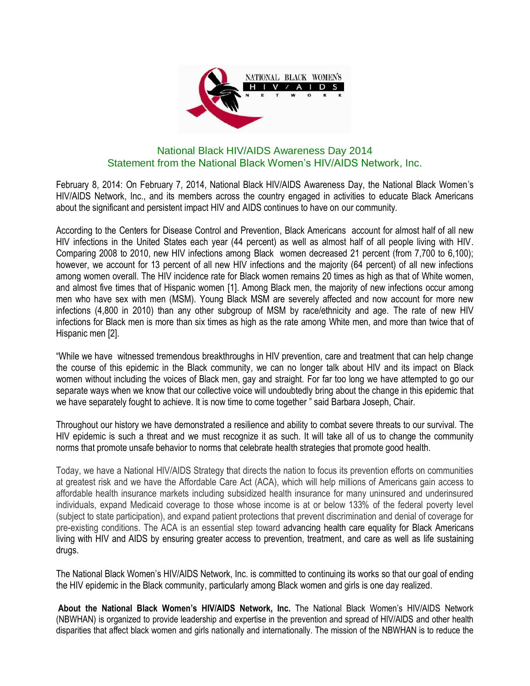

## National Black HIV/AIDS Awareness Day 2014 Statement from the National Black Women's HIV/AIDS Network, Inc.

February 8, 2014: On February 7, 2014, National Black HIV/AIDS Awareness Day, the National Black Women's HIV/AIDS Network, Inc., and its members across the country engaged in activities to educate Black Americans about the significant and persistent impact HIV and AIDS continues to have on our community.

According to the Centers for Disease Control and Prevention, Black Americans account for almost half of all new HIV infections in the United States each year (44 percent) as well as almost half of all people living with HIV. Comparing 2008 to 2010, new HIV infections among Black women decreased 21 percent (from 7,700 to 6,100); however, we account for 13 percent of all new HIV infections and the majority (64 percent) of all new infections among women overall. The HIV incidence rate for Black women remains 20 times as high as that of White women, and almost five times that of Hispanic women [1]. Among Black men, the majority of new infections occur among men who have sex with men (MSM). Young Black MSM are severely affected and now account for more new infections (4,800 in 2010) than any other subgroup of MSM by race/ethnicity and age. The rate of new HIV infections for Black men is more than six times as high as the rate among White men, and more than twice that of Hispanic men [2].

"While we have witnessed tremendous breakthroughs in HIV prevention, care and treatment that can help change the course of this epidemic in the Black community, we can no longer talk about HIV and its impact on Black women without including the voices of Black men, gay and straight. For far too long we have attempted to go our separate ways when we know that our collective voice will undoubtedly bring about the change in this epidemic that we have separately fought to achieve. It is now time to come together " said Barbara Joseph, Chair.

Throughout our history we have demonstrated a resilience and ability to combat severe threats to our survival. The HIV epidemic is such a threat and we must recognize it as such. It will take all of us to change the community norms that promote unsafe behavior to norms that celebrate health strategies that promote good health.

Today, we have a National HIV/AIDS Strategy that directs the nation to focus its prevention efforts on communities at greatest risk and we have the Affordable Care Act (ACA), which will help millions of Americans gain access to affordable health insurance markets including subsidized health insurance for many uninsured and underinsured individuals, expand Medicaid coverage to those whose income is at or below 133% of the federal poverty level (subject to state participation), and expand patient protections that prevent discrimination and denial of coverage for pre-existing conditions. The ACA is an essential step toward advancing health care equality for Black Americans living with HIV and AIDS by ensuring greater access to prevention, treatment, and care as well as life sustaining drugs.

The National Black Women's HIV/AIDS Network, Inc. is committed to continuing its works so that our goal of ending the HIV epidemic in the Black community, particularly among Black women and girls is one day realized.

**About the National Black Women's HIV/AIDS Network, Inc.** The National Black Women's HIV/AIDS Network (NBWHAN) is organized to provide leadership and expertise in the prevention and spread of HIV/AIDS and other health disparities that affect black women and girls nationally and internationally. The mission of the NBWHAN is to reduce the